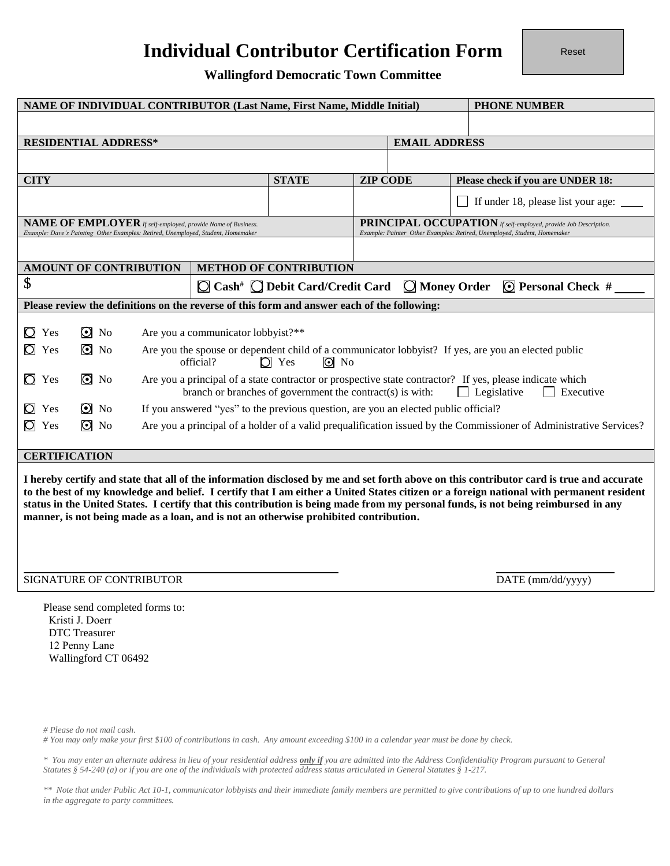# **Individual Contributor Certification Form**

Reset

**Wallingford Democratic Town Committee** 

| NAME OF INDIVIDUAL CONTRIBUTOR (Last Name, First Name, Middle Initial)<br><b>PHONE NUMBER</b>                                                                                                                                                                                                                                                                                                                                                                                                                       |                                                                            |                          |                                                                                                                                                                                                          |                                                                     |                                                                           |  |                      |                                                                 |                                    |  |
|---------------------------------------------------------------------------------------------------------------------------------------------------------------------------------------------------------------------------------------------------------------------------------------------------------------------------------------------------------------------------------------------------------------------------------------------------------------------------------------------------------------------|----------------------------------------------------------------------------|--------------------------|----------------------------------------------------------------------------------------------------------------------------------------------------------------------------------------------------------|---------------------------------------------------------------------|---------------------------------------------------------------------------|--|----------------------|-----------------------------------------------------------------|------------------------------------|--|
|                                                                                                                                                                                                                                                                                                                                                                                                                                                                                                                     |                                                                            |                          |                                                                                                                                                                                                          |                                                                     |                                                                           |  |                      |                                                                 |                                    |  |
| <b>RESIDENTIAL ADDRESS*</b>                                                                                                                                                                                                                                                                                                                                                                                                                                                                                         |                                                                            |                          |                                                                                                                                                                                                          |                                                                     |                                                                           |  | <b>EMAIL ADDRESS</b> |                                                                 |                                    |  |
|                                                                                                                                                                                                                                                                                                                                                                                                                                                                                                                     |                                                                            |                          |                                                                                                                                                                                                          |                                                                     |                                                                           |  |                      |                                                                 |                                    |  |
| <b>CITY</b>                                                                                                                                                                                                                                                                                                                                                                                                                                                                                                         |                                                                            |                          |                                                                                                                                                                                                          |                                                                     | <b>STATE</b><br><b>ZIP CODE</b>                                           |  |                      | Please check if you are UNDER 18:                               |                                    |  |
|                                                                                                                                                                                                                                                                                                                                                                                                                                                                                                                     |                                                                            |                          |                                                                                                                                                                                                          |                                                                     |                                                                           |  |                      |                                                                 | If under 18, please list your age: |  |
|                                                                                                                                                                                                                                                                                                                                                                                                                                                                                                                     |                                                                            |                          |                                                                                                                                                                                                          | <b>NAME OF EMPLOYER</b> If self-employed, provide Name of Business. |                                                                           |  |                      | PRINCIPAL OCCUPATION If self-employed, provide Job Description. |                                    |  |
| Example: Dave's Painting Other Examples: Retired, Unemployed, Student, Homemaker<br>Example: Painter Other Examples: Retired, Unemployed, Student, Homemaker                                                                                                                                                                                                                                                                                                                                                        |                                                                            |                          |                                                                                                                                                                                                          |                                                                     |                                                                           |  |                      |                                                                 |                                    |  |
| <b>METHOD OF CONTRIBUTION</b><br><b>AMOUNT OF CONTRIBUTION</b>                                                                                                                                                                                                                                                                                                                                                                                                                                                      |                                                                            |                          |                                                                                                                                                                                                          |                                                                     |                                                                           |  |                      |                                                                 |                                    |  |
| \$                                                                                                                                                                                                                                                                                                                                                                                                                                                                                                                  |                                                                            |                          |                                                                                                                                                                                                          |                                                                     | $\Box$ Cash <sup>#</sup> $\Box$ Debit Card/Credit Card $\Box$ Money Order |  |                      |                                                                 | $\odot$ Personal Check #           |  |
| Please review the definitions on the reverse of this form and answer each of the following:                                                                                                                                                                                                                                                                                                                                                                                                                         |                                                                            |                          |                                                                                                                                                                                                          |                                                                     |                                                                           |  |                      |                                                                 |                                    |  |
| $\Box$ Yes<br>$\overline{O}$ Yes                                                                                                                                                                                                                                                                                                                                                                                                                                                                                    |                                                                            | $\odot$ No<br>$\odot$ No | Are you a communicator lobbyist?**<br>Are you the spouse or dependent child of a communicator lobbyist? If yes, are you an elected public<br>$\Box$ Yes<br>official?<br>$\odot$ No                       |                                                                     |                                                                           |  |                      |                                                                 |                                    |  |
| $\overline{O}$ Yes                                                                                                                                                                                                                                                                                                                                                                                                                                                                                                  |                                                                            | $\odot$ No               | Are you a principal of a state contractor or prospective state contractor? If yes, please indicate which<br>branch or branches of government the contract(s) is with:<br>$\Box$ Legislative<br>Executive |                                                                     |                                                                           |  |                      |                                                                 |                                    |  |
| $\overline{O}$ Yes                                                                                                                                                                                                                                                                                                                                                                                                                                                                                                  |                                                                            | $\odot$ No               | If you answered "yes" to the previous question, are you an elected public official?                                                                                                                      |                                                                     |                                                                           |  |                      |                                                                 |                                    |  |
| $\overline{O}$ Yes                                                                                                                                                                                                                                                                                                                                                                                                                                                                                                  |                                                                            | $\odot$ No               | Are you a principal of a holder of a valid prequalification issued by the Commissioner of Administrative Services?                                                                                       |                                                                     |                                                                           |  |                      |                                                                 |                                    |  |
| <b>CERTIFICATION</b>                                                                                                                                                                                                                                                                                                                                                                                                                                                                                                |                                                                            |                          |                                                                                                                                                                                                          |                                                                     |                                                                           |  |                      |                                                                 |                                    |  |
| I hereby certify and state that all of the information disclosed by me and set forth above on this contributor card is true and accurate<br>to the best of my knowledge and belief. I certify that I am either a United States citizen or a foreign national with permanent resident<br>status in the United States. I certify that this contribution is being made from my personal funds, is not being reimbursed in any<br>manner, is not being made as a loan, and is not an otherwise prohibited contribution. |                                                                            |                          |                                                                                                                                                                                                          |                                                                     |                                                                           |  |                      |                                                                 |                                    |  |
| SIGNATURE OF CONTRIBUTOR                                                                                                                                                                                                                                                                                                                                                                                                                                                                                            |                                                                            |                          |                                                                                                                                                                                                          |                                                                     |                                                                           |  | DATE (mm/dd/yyyy)    |                                                                 |                                    |  |
|                                                                                                                                                                                                                                                                                                                                                                                                                                                                                                                     | Please send completed forms to:<br>Kristi J. Doerr<br><b>DTC</b> Treasurer |                          |                                                                                                                                                                                                          |                                                                     |                                                                           |  |                      |                                                                 |                                    |  |

*# Please do not mail cash.* 

12 Penny Lane Wallingford CT 06492

*# You may only make your first \$100 of contributions in cash. Any amount exceeding \$100 in a calendar year must be done by check.* 

*\* You may enter an alternate address in lieu of your residential address only if you are admitted into the Address Confidentiality Program pursuant to General Statutes § 54-240 (a) or if you are one of the individuals with protected address status articulated in General Statutes § 1-217.* 

*\*\* Note that under Public Act 10-1, communicator lobbyists and their immediate family members are permitted to give contributions of up to one hundred dollars in the aggregate to party committees.*